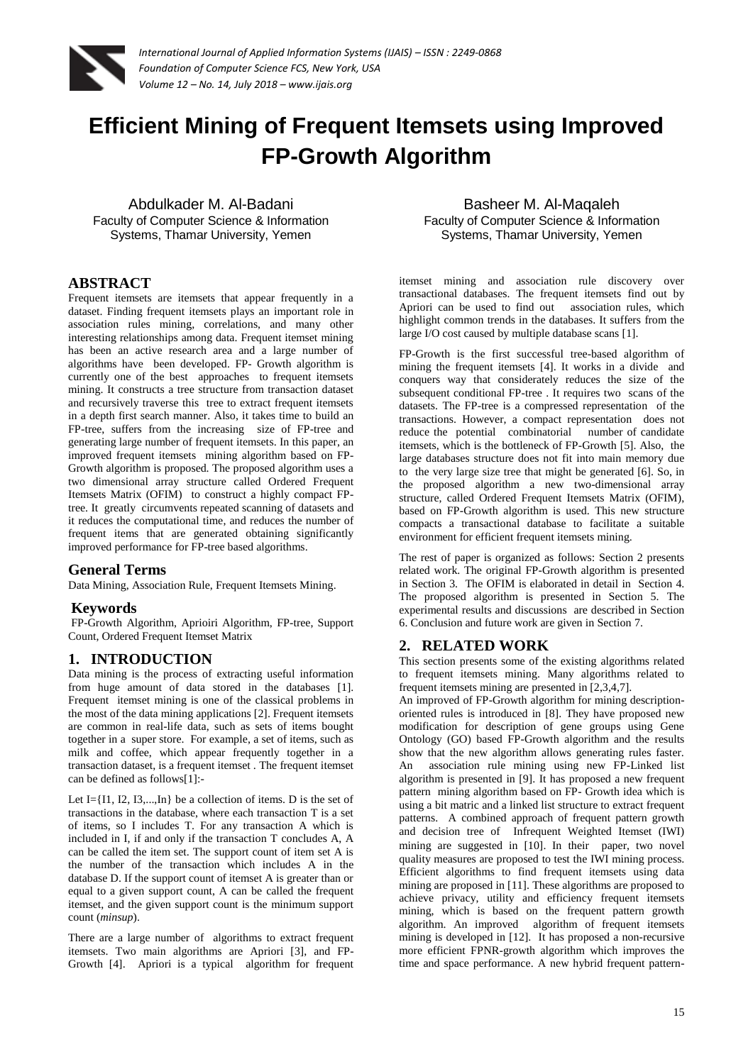

# **Efficient Mining of Frequent Itemsets using Improved FP-Growth Algorithm**

Abdulkader M. Al-Badani Faculty of Computer Science & Information Systems, Thamar University, Yemen

# **ABSTRACT**

Frequent itemsets are itemsets that appear frequently in a dataset. Finding frequent itemsets plays an important role in association rules mining, correlations, and many other interesting relationships among data. Frequent itemset mining has been an active research area and a large number of algorithms have been developed. FP- Growth algorithm is currently one of the best approaches to frequent itemsets mining. It constructs a tree structure from transaction dataset and recursively traverse this tree to extract frequent itemsets in a depth first search manner. Also, it takes time to build an FP-tree, suffers from the increasing size of FP-tree and generating large number of frequent itemsets. In this paper, an improved frequent itemsets mining algorithm based on FP-Growth algorithm is proposed. The proposed algorithm uses a two dimensional array structure called Ordered Frequent Itemsets Matrix (OFIM) to construct a highly compact FPtree. It greatly circumvents repeated scanning of datasets and it reduces the computational time, and reduces the number of frequent items that are generated obtaining significantly improved performance for FP-tree based algorithms.

# **General Terms**

Data Mining, Association Rule, Frequent Itemsets Mining.

# **Keywords**

FP-Growth Algorithm, Aprioiri Algorithm, FP-tree, Support Count, Ordered Frequent Itemset Matrix

#### **1. INTRODUCTION**

Data mining is the process of extracting useful information from huge amount of data stored in the databases [1]. Frequent itemset mining is one of the classical problems in the most of the data mining applications [2]. Frequent itemsets are common in real-life data, such as sets of items bought together in a super store. For example, a set of items, such as milk and coffee, which appear frequently together in a transaction dataset, is a frequent itemset . The frequent itemset can be defined as follows[1]:-

Let I={I1, I2, I3,...,In} be a collection of items. D is the set of transactions in the database, where each transaction T is a set of items, so I includes T. For any transaction A which is included in I, if and only if the transaction T concludes A, A can be called the item set. The support count of item set A is the number of the transaction which includes A in the database D. If the support count of itemset A is greater than or equal to a given support count, A can be called the frequent itemset, and the given support count is the minimum support count (*minsup*).

There are a large number of algorithms to extract frequent itemsets. Two main algorithms are Apriori [3], and FP-Growth [4]. Apriori is a typical algorithm for frequent

Basheer M. Al-Maqaleh Faculty of Computer Science & Information Systems, Thamar University, Yemen

itemset mining and association rule discovery over transactional databases. The frequent itemsets find out by Apriori can be used to find out association rules, which highlight common trends in the databases. It suffers from the large I/O cost caused by multiple database scans [1].

FP-Growth is the first successful tree-based algorithm of mining the frequent itemsets [4]. It works in a divide and conquers way that considerately reduces the size of the subsequent conditional FP-tree . It requires two scans of the datasets. The FP-tree is a compressed representation of the transactions. However, a compact representation does not reduce the potential combinatorial number of candidate itemsets, which is the bottleneck of FP-Growth [5]. Also, the large databases structure does not fit into main memory due to the very large size tree that might be generated [6]. So, in the proposed algorithm a new two-dimensional array structure, called Ordered Frequent Itemsets Matrix (OFIM), based on FP-Growth algorithm is used. This new structure compacts a transactional database to facilitate a suitable environment for efficient frequent itemsets mining.

The rest of paper is organized as follows: Section 2 presents related work. The original FP-Growth algorithm is presented in Section 3. The OFIM is elaborated in detail in Section 4. The proposed algorithm is presented in Section 5. The experimental results and discussions are described in Section 6. Conclusion and future work are given in Section 7.

# **2. RELATED WORK**

This section presents some of the existing algorithms related to frequent itemsets mining. Many algorithms related to frequent itemsets mining are presented in [2,3,4,7].

An improved of FP-Growth algorithm for mining descriptionoriented rules is introduced in [8]. They have proposed new modification for description of gene groups using Gene Ontology (GO) based FP-Growth algorithm and the results show that the new algorithm allows generating rules faster. An association rule mining using new FP-Linked list algorithm is presented in [9]. It has proposed a new frequent pattern mining algorithm based on FP- Growth idea which is using a bit matric and a linked list structure to extract frequent patterns. A combined approach of frequent pattern growth and decision tree of Infrequent Weighted Itemset (IWI) mining are suggested in [10]. In their paper, two novel quality measures are proposed to test the IWI mining process. Efficient algorithms to find frequent itemsets using data mining are proposed in [11]. These algorithms are proposed to achieve privacy, utility and efficiency frequent itemsets mining, which is based on the frequent pattern growth algorithm. An improved algorithm of frequent itemsets mining is developed in [12]. It has proposed a non-recursive more efficient FPNR-growth algorithm which improves the time and space performance. A new hybrid frequent pattern-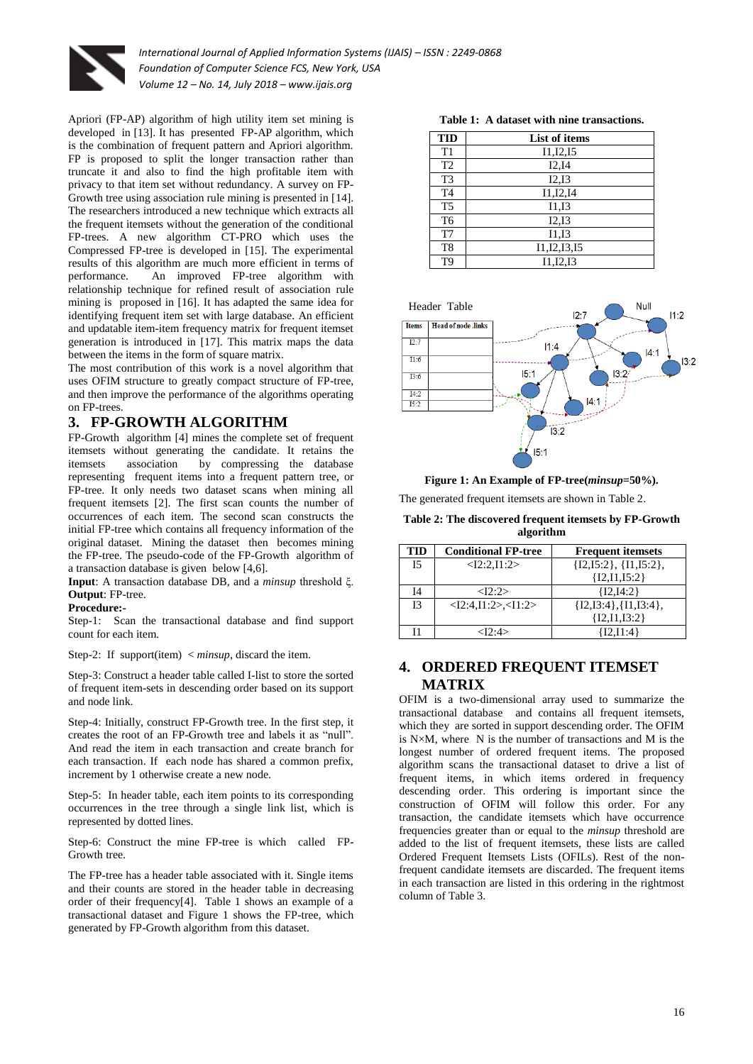

Apriori (FP-AP) algorithm of high utility item set mining is developed in [13]. It has presented FP-AP algorithm, which is the combination of frequent pattern and Apriori algorithm. FP is proposed to split the longer transaction rather than truncate it and also to find the high profitable item with privacy to that item set without redundancy. A survey on FP-Growth tree using association rule mining is presented in [14]. The researchers introduced a new technique which extracts all the frequent itemsets without the generation of the conditional FP-trees. A new algorithm CT-PRO which uses the Compressed FP-tree is developed in [15]. The experimental results of this algorithm are much more efficient in terms of performance. An improved FP-tree algorithm with relationship technique for refined result of association rule mining is proposed in [16]. It has adapted the same idea for identifying frequent item set with large database. An efficient and updatable item-item frequency matrix for frequent itemset generation is introduced in [17]. This matrix maps the data between the items in the form of square matrix.

The most contribution of this work is a novel algorithm that uses OFIM structure to greatly compact structure of FP-tree, and then improve the performance of the algorithms operating on FP-trees.

# **3. FP-GROWTH ALGORITHM**

FP-Growth algorithm [4] mines the complete set of frequent itemsets without generating the candidate. It retains the itemsets association by compressing the database representing frequent items into a frequent pattern tree, or FP-tree. It only needs two dataset scans when mining all frequent itemsets [2]. The first scan counts the number of occurrences of each item. The second scan constructs the initial FP-tree which contains all frequency information of the original dataset. Mining the dataset then becomes mining the FP-tree. The pseudo-code of the FP-Growth algorithm of a transaction database is given below [4,6].

**Input**: A transaction database DB, and a *minsup* threshold ξ. **Output**: FP-tree.

#### **Procedure:-**

Step-1: Scan the transactional database and find support count for each item.

Step-2: If support(item) < *minsup*, discard the item.

Step-3: Construct a header table called I-list to store the sorted of frequent item-sets in descending order based on its support and node link.

Step-4: Initially, construct FP-Growth tree. In the first step, it creates the root of an FP-Growth tree and labels it as "null". And read the item in each transaction and create branch for each transaction. If each node has shared a common prefix, increment by 1 otherwise create a new node.

Step-5: In header table, each item points to its corresponding occurrences in the tree through a single link list, which is represented by dotted lines.

Step-6: Construct the mine FP-tree is which called FP-Growth tree.

The FP-tree has a header table associated with it. Single items and their counts are stored in the header table in decreasing order of their frequency[4]. Table 1 shows an example of a transactional dataset and Figure 1 shows the FP-tree, which generated by FP-Growth algorithm from this dataset.

| Table 1: A dataset with nine transactions. |
|--------------------------------------------|
|--------------------------------------------|

|                | <b>TID</b>     | <b>List of items</b> |  |  |
|----------------|----------------|----------------------|--|--|
|                | T1             | I1, I2, I5           |  |  |
|                | T <sub>2</sub> | I2,I4                |  |  |
|                | T <sub>3</sub> | I2,I3                |  |  |
|                | T <sub>4</sub> | I1, I2, I4           |  |  |
|                | T <sub>5</sub> | I1,I3                |  |  |
| T <sub>6</sub> |                | I2,I3                |  |  |
|                | T7             | I1,I3                |  |  |
|                | T <sub>8</sub> | I1, I2, I3, I5       |  |  |
|                | T9             | I1, I2, I3           |  |  |



**Figure 1: An Example of FP-tree(***minsup***=50%).**

The generated frequent itemsets are shown in Table 2.

**Table 2: The discovered frequent itemsets by FP-Growth algorithm**

| TID       | <b>Conditional FP-tree</b> | <b>Frequent itemsets</b>  |
|-----------|----------------------------|---------------------------|
| <b>I5</b> | < I2:2.I1:2>               | ${I2,I5:2}, {I1,I5:2},$   |
|           |                            | ${I2, I1, I5:2}$          |
| Ī4        | <12:2>                     | ${12.14:2}$               |
| 13        | < I2:4,I1:2>< I1:2>        | ${I2, I3:4}, {I1, I3:4},$ |
|           |                            | ${I2, I1, I3:2}$          |
|           | $\langle 12:4 \rangle$     | ${12.11:4}$               |

# **4. ORDERED FREQUENT ITEMSET MATRIX**

OFIM is a two-dimensional array used to summarize the transactional database and contains all frequent itemsets, which they are sorted in support descending order. The OFIM is  $N\times M$ , where N is the number of transactions and M is the longest number of ordered frequent items. The proposed algorithm scans the transactional dataset to drive a list of frequent items, in which items ordered in frequency descending order. This ordering is important since the construction of OFIM will follow this order. For any transaction, the candidate itemsets which have occurrence frequencies greater than or equal to the *minsup* threshold are added to the list of frequent itemsets, these lists are called Ordered Frequent Itemsets Lists (OFILs). Rest of the nonfrequent candidate itemsets are discarded. The frequent items in each transaction are listed in this ordering in the rightmost column of Table 3.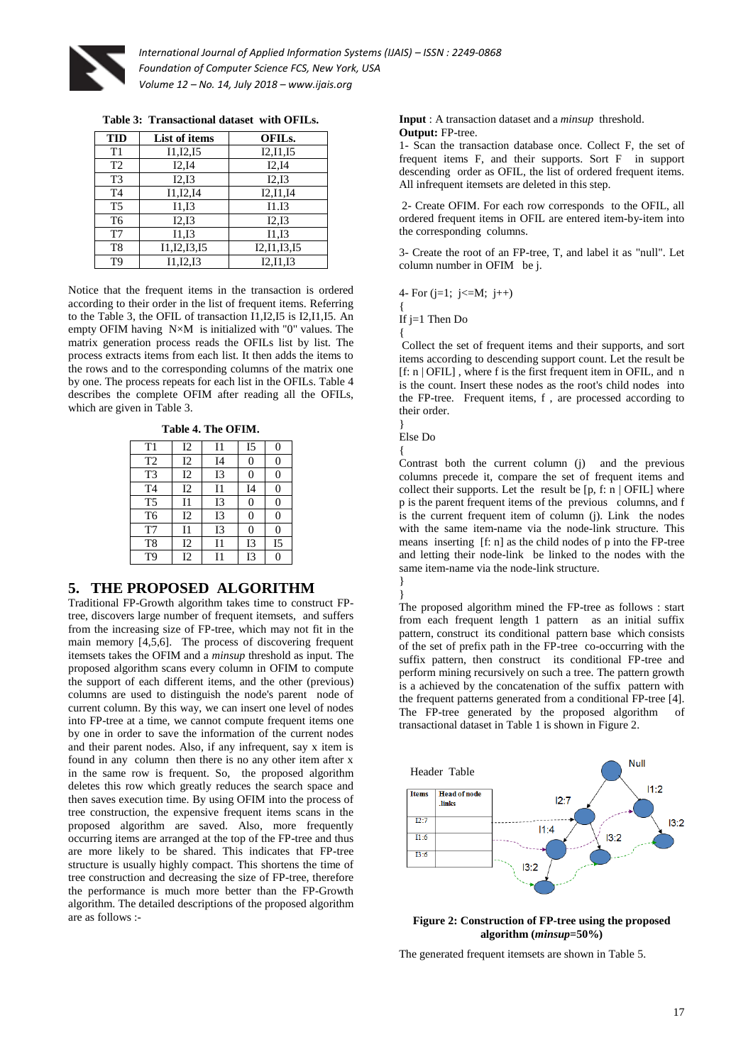

**Table 3: Transactional dataset with OFILs.**

| <b>TID</b><br>List of items  |                | OFIL <sub>s</sub> . |  |
|------------------------------|----------------|---------------------|--|
| T1                           | I1, I2, I5     | I2, I1, I5          |  |
| T <sub>2</sub>               | I2,I4<br>I2,I4 |                     |  |
| T <sub>3</sub>               | I2,I3          | I2,I3               |  |
| I1, I2, I4<br>T <sub>4</sub> |                | I2, I1, I4          |  |
| T <sub>5</sub><br>I1.I3      |                | I1.I3               |  |
| T <sub>6</sub><br>I2,I3      |                | I2,I3               |  |
| T7                           | I1,I3          | I1,I3               |  |
| 11, 12, 13, 15<br>T8         |                | 12, 11, 13, 15      |  |
| I1, I2, I3<br>T9             |                | I2.I1.I3            |  |

Notice that the frequent items in the transaction is ordered according to their order in the list of frequent items. Referring to the Table 3, the OFIL of transaction I1,I2,I5 is I2,I1,I5. An empty OFIM having N×M is initialized with "0" values. The matrix generation process reads the OFILs list by list. The process extracts items from each list. It then adds the items to the rows and to the corresponding columns of the matrix one by one. The process repeats for each list in the OFILs. Table 4 describes the complete OFIM after reading all the OFILs, which are given in Table 3.

**Table 4. The OFIM.**

| T1             | I2 | 11        | I <sub>5</sub> | O              |
|----------------|----|-----------|----------------|----------------|
| T <sub>2</sub> | I2 | I4        | 0              | 0              |
| T <sub>3</sub> | 12 | <b>I3</b> | 0              | 0              |
| T <sub>4</sub> | 12 | 11        | I <sub>4</sub> | 0              |
| T <sub>5</sub> | 11 | <b>I3</b> | 0              | 0              |
| T <sub>6</sub> | 12 | <b>I3</b> | 0              | 0              |
| T7             | 11 | I3        | 0              | $\mathbf{\ }$  |
| T8             | 12 | 11        | 13             | I <sub>5</sub> |
| T9             | 12 | 11        | I3             |                |

# **5. THE PROPOSED ALGORITHM**

Traditional FP-Growth algorithm takes time to construct FPtree, discovers large number of frequent itemsets, and suffers from the increasing size of FP-tree, which may not fit in the main memory [4,5,6]. The process of discovering frequent itemsets takes the OFIM and a *minsup* threshold as input. The proposed algorithm scans every column in OFIM to compute the support of each different items, and the other (previous) columns are used to distinguish the node's parent node of current column. By this way, we can insert one level of nodes into FP-tree at a time, we cannot compute frequent items one by one in order to save the information of the current nodes and their parent nodes. Also, if any infrequent, say x item is found in any column then there is no any other item after x in the same row is frequent. So, the proposed algorithm deletes this row which greatly reduces the search space and then saves execution time. By using OFIM into the process of tree construction, the expensive frequent items scans in the proposed algorithm are saved. Also, more frequently occurring items are arranged at the top of the FP-tree and thus are more likely to be shared. This indicates that FP-tree structure is usually highly compact. This shortens the time of tree construction and decreasing the size of FP-tree, therefore the performance is much more better than the FP-Growth algorithm. The detailed descriptions of the proposed algorithm are as follows :-

**Input** : A transaction dataset and a *minsup* threshold. **Output:** FP-tree.

1- Scan the transaction database once. Collect F, the set of frequent items F, and their supports. Sort F in support descending order as OFIL, the list of ordered frequent items. All infrequent itemsets are deleted in this step.

2- Create OFIM. For each row corresponds to the OFIL, all ordered frequent items in OFIL are entered item-by-item into the corresponding columns.

3- Create the root of an FP-tree, T, and label it as "null". Let column number in OFIM be j.

4- For (j=1; j<=M; j++) { If j=1 Then Do {

Collect the set of frequent items and their supports, and sort items according to descending support count. Let the result be [f: n | OFIL] , where f is the first frequent item in OFIL, and n is the count. Insert these nodes as the root's child nodes into the FP-tree. Frequent items, f , are processed according to their order.

} Else Do

{

}

Contrast both the current column (j) and the previous columns precede it, compare the set of frequent items and collect their supports. Let the result be  $[p, f; n | OFIL]$  where p is the parent frequent items of the previous columns, and f is the current frequent item of column (j). Link the nodes with the same item-name via the node-link structure. This means inserting [f: n] as the child nodes of p into the FP-tree and letting their node-link be linked to the nodes with the same item-name via the node-link structure.

} The proposed algorithm mined the FP-tree as follows : start from each frequent length 1 pattern as an initial suffix pattern, construct its conditional pattern base which consists of the set of prefix path in the FP-tree co-occurring with the suffix pattern, then construct its conditional FP-tree and perform mining recursively on such a tree. The pattern growth is a achieved by the concatenation of the suffix pattern with the frequent patterns generated from a conditional FP-tree [4]. The FP-tree generated by the proposed algorithm of transactional dataset in Table 1 is shown in Figure 2.



**Figure 2: Construction of FP-tree using the proposed algorithm (***minsup***=50%)**

The generated frequent itemsets are shown in Table 5.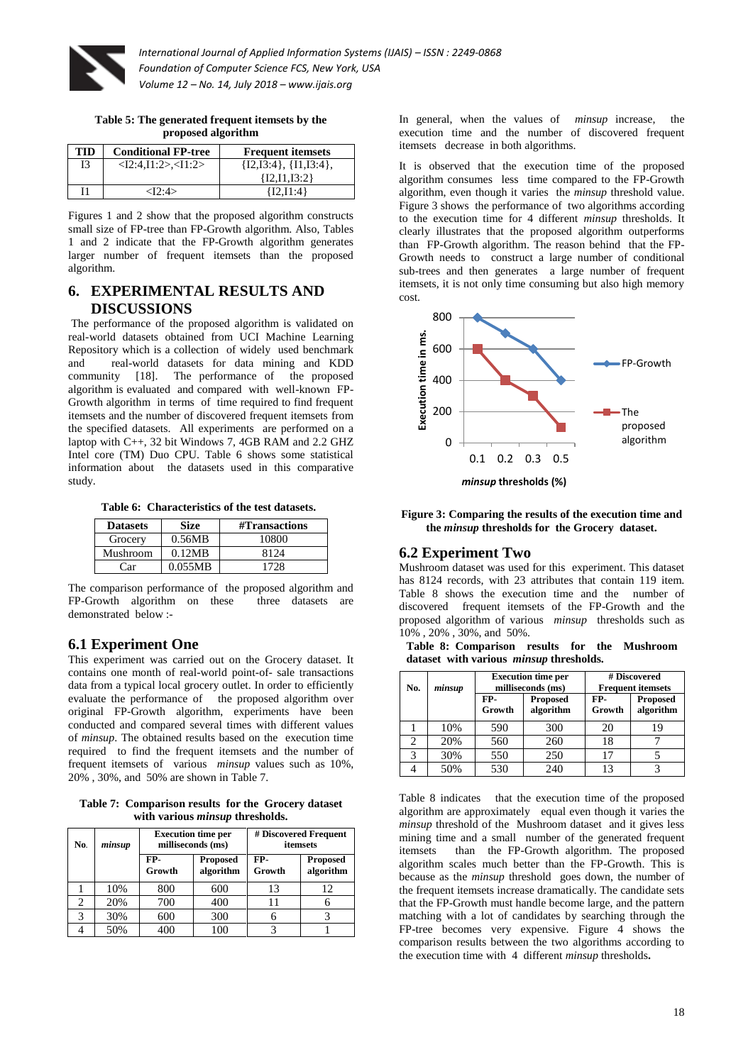

**Table 5: The generated frequent itemsets by the proposed algorithm**

| TID | <b>Conditional FP-tree</b> | <b>Frequent itemsets</b> |
|-----|----------------------------|--------------------------|
| I3  | < I2:4.I1:2>< I1:2>        | ${I2,I3:4}, {I1,I3:4},$  |
|     |                            | ${I2.I1.I3:2}$           |
| 11  | $<$ I $2.4$ $>$            | ${12.11:4}$              |

Figures 1 and 2 show that the proposed algorithm constructs small size of FP-tree than FP-Growth algorithm. Also, Tables 1 and 2 indicate that the FP-Growth algorithm generates larger number of frequent itemsets than the proposed algorithm.

# **6. EXPERIMENTAL RESULTS AND DISCUSSIONS**

The performance of the proposed algorithm is validated on real-world datasets obtained from UCI Machine Learning Repository which is a collection of widely used benchmark and real-world datasets for data mining and KDD community [18]. The performance of the proposed algorithm is evaluated and compared with well-known FP-Growth algorithm in terms of time required to find frequent itemsets and the number of discovered frequent itemsets from the specified datasets. All experiments are performed on a laptop with C++, 32 bit Windows 7, 4GB RAM and 2.2 GHZ Intel core (TM) Duo CPU. Table 6 shows some statistical information about the datasets used in this comparative study.

**Table 6: Characteristics of the test datasets.**

| <b>Datasets</b> | <b>Size</b> | #Transactions |
|-----------------|-------------|---------------|
| Grocery         | 0.56MB      | 10800         |
| Mushroom        | 0.12MB      | 8124          |
| Car             | 0.055MB     | 1728          |

The comparison performance of the proposed algorithm and FP-Growth algorithm on these three datasets are demonstrated below :-

# **6.1 Experiment One**

This experiment was carried out on the Grocery dataset. It contains one month of real-world point-of- sale transactions data from a typical local grocery outlet. In order to efficiently evaluate the performance of the proposed algorithm over original FP-Growth algorithm, experiments have been conducted and compared several times with different values of *minsup*. The obtained results based on the execution time required to find the frequent itemsets and the number of frequent itemsets of various *minsup* values such as 10%, 20% , 30%, and 50% are shown in Table 7.

**Table 7: Comparison results for the Grocery dataset with various** *minsup* **thresholds.**

| No. | minsup | <b>Execution time per</b><br>milliseconds (ms) |     | # Discovered Frequent<br>itemsets |                              |
|-----|--------|------------------------------------------------|-----|-----------------------------------|------------------------------|
|     |        | FP-<br><b>Proposed</b><br>algorithm<br>Growth  |     | FP-<br>Growth                     | <b>Proposed</b><br>algorithm |
|     | 10%    | 800                                            | 600 | 13                                | 12                           |
|     | 20%    | 700                                            | 400 |                                   |                              |
| 3   | 30%    | 600                                            | 300 |                                   |                              |
|     | 50%    | 400                                            | 100 |                                   |                              |

In general, when the values of *minsup* increase, the execution time and the number of discovered frequent itemsets decrease in both algorithms.

It is observed that the execution time of the proposed algorithm consumes less time compared to the FP-Growth algorithm, even though it varies the *minsup* threshold value. Figure 3 shows the performance of two algorithms according to the execution time for 4 different *minsup* thresholds. It clearly illustrates that the proposed algorithm outperforms than FP-Growth algorithm. The reason behind that the FP-Growth needs to construct a large number of conditional sub-trees and then generates a large number of frequent itemsets, it is not only time consuming but also high memory cost.



#### **Figure 3: Comparing the results of the execution time and the** *minsup* **thresholds for the Grocery dataset.**

#### **6.2 Experiment Two**

Mushroom dataset was used for this experiment. This dataset has 8124 records, with 23 attributes that contain 119 item. Table 8 shows the execution time and the number of discovered frequent itemsets of the FP-Growth and the proposed algorithm of various *minsup* thresholds such as 10% , 20% , 30%, and 50%.

**Table 8: Comparison results for the Mushroom dataset with various** *minsup* **thresholds.**

| No. | minsup | <b>Execution time per</b><br>milliseconds (ms) |                              | # Discovered<br><b>Frequent itemsets</b> |                              |  |
|-----|--------|------------------------------------------------|------------------------------|------------------------------------------|------------------------------|--|
|     |        | FP-<br>Growth                                  | <b>Proposed</b><br>algorithm | FP-<br>Growth                            | <b>Proposed</b><br>algorithm |  |
|     | 10%    | 590                                            | 300                          | 20                                       | 19                           |  |
| 2   | 20%    | 560                                            | 260                          | 18                                       |                              |  |
| 3   | 30%    | 550                                            | 250                          | 17                                       |                              |  |
|     | 50%    | 530                                            | 240                          | 13                                       |                              |  |

Table 8 indicates that the execution time of the proposed algorithm are approximately equal even though it varies the *minsup* threshold of the Mushroom dataset and it gives less mining time and a small number of the generated frequent itemsets than the FP-Growth algorithm. The proposed algorithm scales much better than the FP-Growth. This is because as the *minsup* threshold goes down, the number of the frequent itemsets increase dramatically. The candidate sets that the FP-Growth must handle become large, and the pattern matching with a lot of candidates by searching through the FP-tree becomes very expensive. Figure 4 shows the comparison results between the two algorithms according to the execution time with 4 different *minsup* thresholds**.**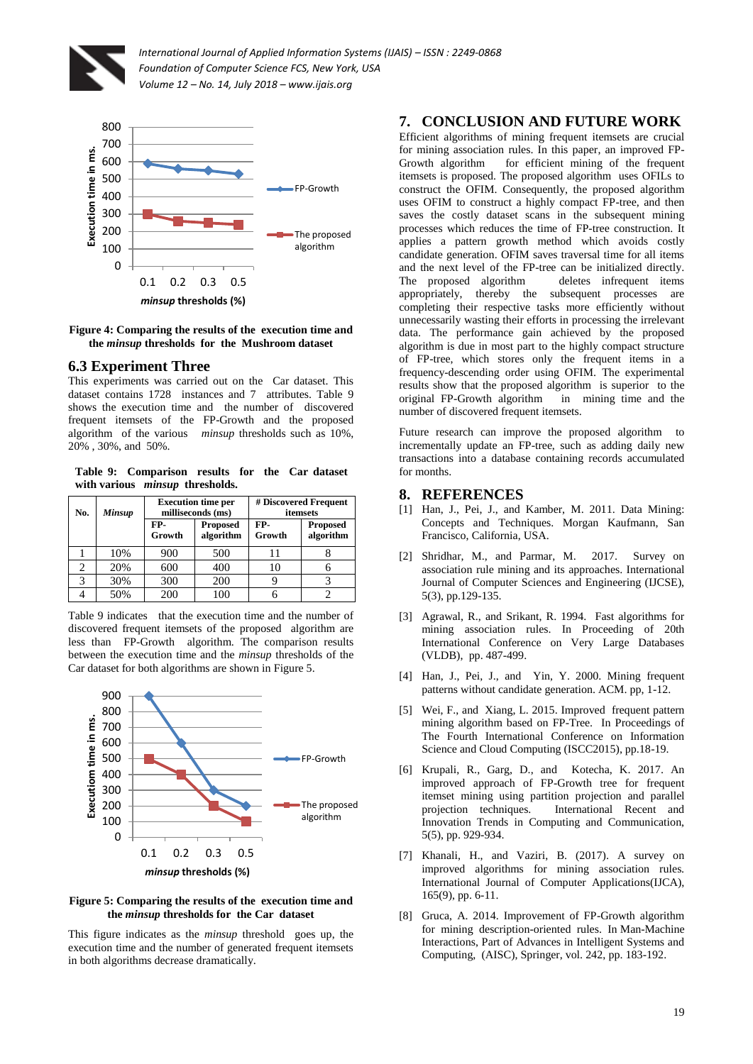





#### **6.3 Experiment Three**

This experiments was carried out on the Car dataset. This dataset contains 1728 instances and 7 attributes. Table 9 shows the execution time and the number of discovered frequent itemsets of the FP-Growth and the proposed algorithm of the various *minsup* thresholds such as 10%, 20% , 30%, and 50%.

**Table 9: Comparison results for the Car dataset with various** *minsup* **thresholds.**

| No. | Minsup | <b>Execution time per</b><br>milliseconds (ms) |                              |               | # Discovered Frequent<br>itemsets |
|-----|--------|------------------------------------------------|------------------------------|---------------|-----------------------------------|
|     |        | FP-<br>Growth                                  | <b>Proposed</b><br>algorithm | FP-<br>Growth | <b>Proposed</b><br>algorithm      |
|     | 10%    | 900                                            | 500                          | 11            |                                   |
|     | 20%    | 600                                            | 400                          | 10            |                                   |
| 3   | 30%    | 300                                            | 200                          |               |                                   |
|     | 50%    | 200                                            | 100                          |               |                                   |

Table 9 indicates that the execution time and the number of discovered frequent itemsets of the proposed algorithm are less than FP-Growth algorithm. The comparison results between the execution time and the *minsup* thresholds of the Car dataset for both algorithms are shown in Figure 5.



#### **Figure 5: Comparing the results of the execution time and the** *minsup* **thresholds for the Car dataset**

This figure indicates as the *minsup* threshold goes up, the execution time and the number of generated frequent itemsets in both algorithms decrease dramatically.

# **7. CONCLUSION AND FUTURE WORK**

Efficient algorithms of mining frequent itemsets are crucial for mining association rules. In this paper, an improved FP-Growth algorithm for efficient mining of the frequent itemsets is proposed. The proposed algorithm uses OFILs to construct the OFIM. Consequently, the proposed algorithm uses OFIM to construct a highly compact FP-tree, and then saves the costly dataset scans in the subsequent mining processes which reduces the time of FP-tree construction. It applies a pattern growth method which avoids costly candidate generation. OFIM saves traversal time for all items and the next level of the FP-tree can be initialized directly. The proposed algorithm deletes infrequent items appropriately, thereby the subsequent processes are completing their respective tasks more efficiently without unnecessarily wasting their efforts in processing the irrelevant data. The performance gain achieved by the proposed algorithm is due in most part to the highly compact structure of FP-tree, which stores only the frequent items in a frequency-descending order using OFIM. The experimental results show that the proposed algorithm is superior to the original FP-Growth algorithm in mining time and the number of discovered frequent itemsets.

Future research can improve the proposed algorithm to incrementally update an FP-tree, such as adding daily new transactions into a database containing records accumulated for months.

#### **8. REFERENCES**

- [1] Han, J., Pei, J., and Kamber, M. 2011. Data Mining: Concepts and Techniques. Morgan Kaufmann, San Francisco, California, USA.
- [2] Shridhar, M., and Parmar, M. 2017. Survey on association rule mining and its approaches. International Journal of Computer Sciences and Engineering (IJCSE), 5(3), pp.129-135.
- [3] Agrawal, R., and Srikant, R. 1994. Fast algorithms for mining association rules. In Proceeding of 20th International Conference on Very Large Databases (VLDB), pp. 487-499.
- [4] Han, J., Pei, J., and Yin, Y. 2000. Mining frequent patterns without candidate generation. ACM. pp, 1-12.
- [5] Wei, F., and Xiang, L. 2015. Improved frequent pattern mining algorithm based on FP-Tree. In Proceedings of The Fourth International Conference on Information Science and Cloud Computing (ISCC2015), pp.18-19.
- [6] Krupali, R., Garg, D., and Kotecha, K. 2017. An improved approach of FP-Growth tree for frequent itemset mining using partition projection and parallel projection techniques. International Recent and Innovation Trends in Computing and Communication, 5(5), pp. 929-934.
- [7] Khanali, H., and Vaziri, B. (2017). A survey on improved algorithms for mining association rules. International Journal of Computer Applications(IJCA), 165(9), pp. 6-11.
- [8] Gruca, A. 2014. Improvement of FP-Growth algorithm for mining description-oriented rules. In Man-Machine Interactions, Part of Advances in Intelligent Systems and Computing, (AISC), Springer, vol. 242, pp. 183-192.